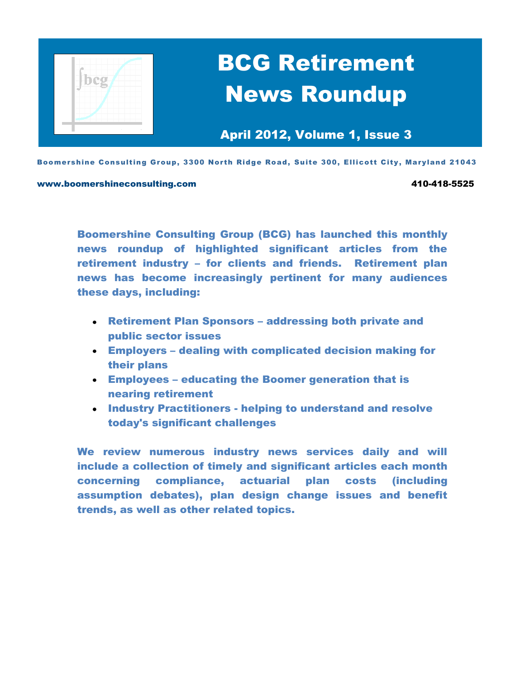

# BCG Retirement News Roundup

April 2012, Volume 1, Issue 3

Boomershine Consulting Group, 3300 North Ridge Road, Suite 300, Ellicott City, Maryland 21043

[www.boomershineconsulting.com](http://www.boomershineconsulting.com/) and the state of the 410-418-5525

Boomershine Consulting Group (BCG) has launched this monthly news roundup of highlighted significant articles from the retirement industry – for clients and friends. Retirement plan news has become increasingly pertinent for many audiences these days, including:

- Retirement Plan Sponsors addressing both private and public sector issues
- Employers dealing with complicated decision making for their plans
- Employees educating the Boomer generation that is nearing retirement
- Industry Practitioners helping to understand and resolve today's significant challenges

We review numerous industry news services daily and will include a collection of timely and significant articles each month concerning compliance, actuarial plan costs (including assumption debates), plan design change issues and benefit trends, as well as other related topics.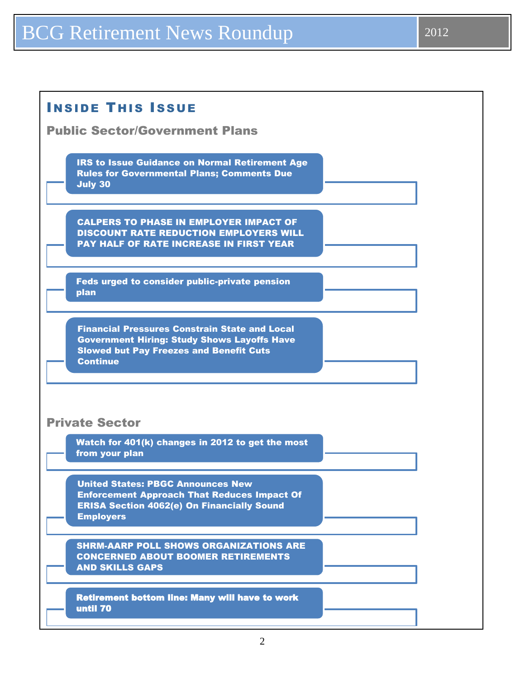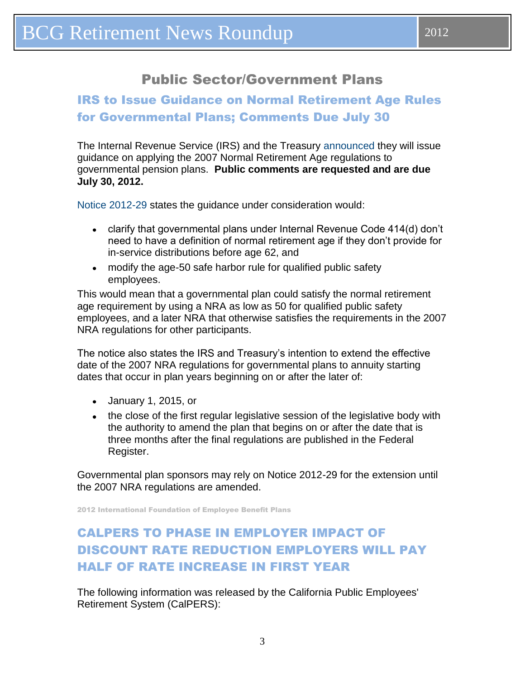### Public Sector/Government Plans

### <span id="page-2-0"></span>IRS to Issue Guidance on Normal Retirement Age Rules for Governmental Plans; Comments Due July 30

The Internal Revenue Service (IRS) and the Treasury [announced](http://www.irs.gov/pub/irs-drop/n-12-29.pdf) they will issue guidance on applying the 2007 Normal Retirement Age regulations to governmental pension plans. **Public comments are requested and are due July 30, 2012.**

[Notice 2012-29](http://www.irs.gov/pub/irs-drop/n-12-29.pdf) states the guidance under consideration would:

- clarify that governmental plans under Internal Revenue Code 414(d) don't need to have a definition of normal retirement age if they don't provide for in-service distributions before age 62, and
- modify the age-50 safe harbor rule for qualified public safety employees.

This would mean that a governmental plan could satisfy the normal retirement age requirement by using a NRA as low as 50 for qualified public safety employees, and a later NRA that otherwise satisfies the requirements in the 2007 NRA regulations for other participants.

The notice also states the IRS and Treasury's intention to extend the effective date of the 2007 NRA regulations for governmental plans to annuity starting dates that occur in plan years beginning on or after the later of:

- January 1, 2015, or
- the close of the first regular legislative session of the legislative body with the authority to amend the plan that begins on or after the date that is three months after the final regulations are published in the Federal Register.

Governmental plan sponsors may rely on Notice 2012-29 for the extension until the 2007 NRA regulations are amended.

2012 International Foundation of Employee Benefit Plans

### CALPERS TO PHASE IN EMPLOYER IMPACT OF DISCOUNT RATE REDUCTION EMPLOYERS WILL PAY HALF OF RATE INCREASE IN FIRST YEAR

The following information was released by the California Public Employees' Retirement System (CalPERS):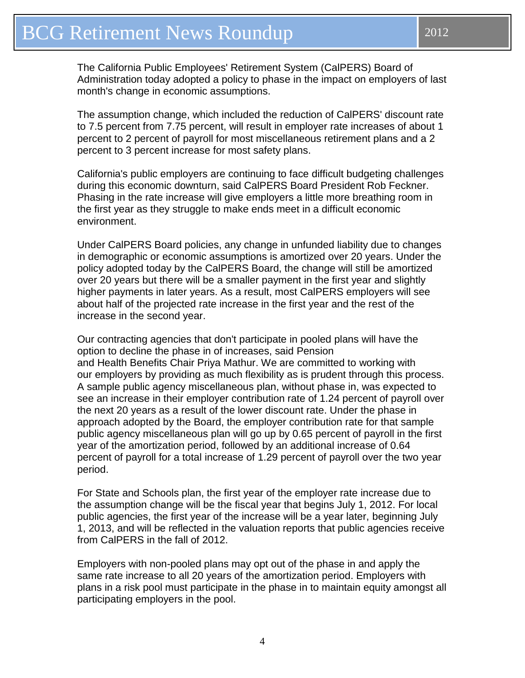The assumption change, which included the reduction of CalPERS' discount rate to 7.5 percent from 7.75 percent, will result in employer rate increases of about 1 percent to 2 percent of payroll for most miscellaneous retirement plans and a 2 percent to 3 percent increase for most safety plans.

California's public employers are continuing to face difficult budgeting challenges during this economic downturn, said CalPERS Board President Rob Feckner. Phasing in the rate increase will give employers a little more breathing room in the first year as they struggle to make ends meet in a difficult economic environment.

Under CalPERS Board policies, any change in unfunded liability due to changes in demographic or economic assumptions is amortized over 20 years. Under the policy adopted today by the CalPERS Board, the change will still be amortized over 20 years but there will be a smaller payment in the first year and slightly higher payments in later years. As a result, most CalPERS employers will see about half of the projected rate increase in the first year and the rest of the increase in the second year.

Our contracting agencies that don't participate in pooled plans will have the option to decline the phase in of increases, said Pension and Health Benefits Chair Priya Mathur. We are committed to working with our employers by providing as much flexibility as is prudent through this process. A sample public agency miscellaneous plan, without phase in, was expected to see an increase in their employer contribution rate of 1.24 percent of payroll over the next 20 years as a result of the lower discount rate. Under the phase in approach adopted by the Board, the employer contribution rate for that sample public agency miscellaneous plan will go up by 0.65 percent of payroll in the first year of the amortization period, followed by an additional increase of 0.64 percent of payroll for a total increase of 1.29 percent of payroll over the two year period.

For State and Schools plan, the first year of the employer rate increase due to the assumption change will be the fiscal year that begins July 1, 2012. For local public agencies, the first year of the increase will be a year later, beginning July 1, 2013, and will be reflected in the valuation reports that public agencies receive from CalPERS in the fall of 2012.

Employers with non-pooled plans may opt out of the phase in and apply the same rate increase to all 20 years of the amortization period. Employers with plans in a risk pool must participate in the phase in to maintain equity amongst all participating employers in the pool.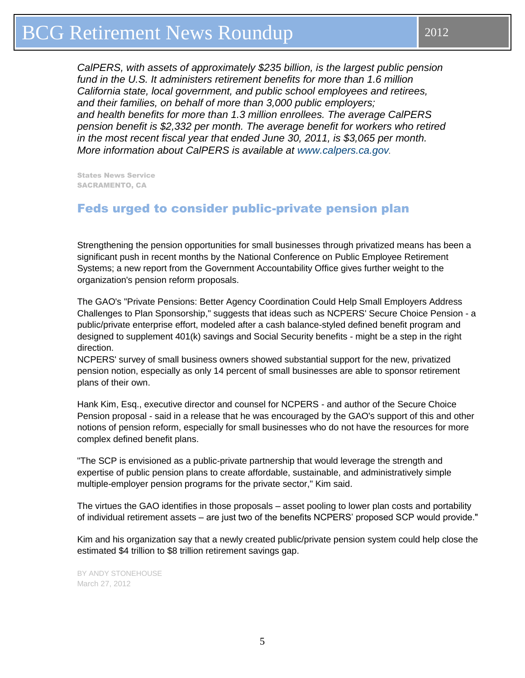## <span id="page-4-0"></span>BCG Retirement News Roundup 2012

*CalPERS, with assets of approximately \$235 billion, is the largest public pension fund in the U.S. It administers retirement benefits for more than 1.6 million California state, local government, and public school employees and retirees, and their families, on behalf of more than 3,000 public employers; and health benefits for more than 1.3 million enrollees. The average CalPERS pension benefit is \$2,332 per month. The average benefit for workers who retired in the most recent fiscal year that ended June 30, 2011, is \$3,065 per month. More information about CalPERS is available at [www.calpers.ca.gov](http://www.calpers.ca.gov/).*

States News Service SACRAMENTO, CA

#### Feds urged to consider public-private pension plan

Strengthening the pension opportunities for small businesses through privatized means has been a significant push in recent months by the National Conference on Public Employee Retirement Systems; a new report from the Government Accountability Office gives further weight to the organization's pension reform proposals.

The GAO's "Private Pensions: Better Agency Coordination Could Help Small Employers Address Challenges to Plan Sponsorship," suggests that ideas such as NCPERS' [Secure Choice Pension](http://www.retirementsecurityforall.org/documents/whitepaper.pdf) - a public/private enterprise effort, modeled after a cash balance-styled defined benefit program and designed to supplement 401(k) savings and Social Security benefits - might be a step in the right direction.

NCPERS' survey of small business owners showed substantial support for the new, privatized pension notion, especially as only 14 percent of small businesses are able to sponsor retirement plans of their own.

Hank Kim, Esq., executive director and counsel for NCPERS - and author of the Secure Choice Pension proposal - said in a release that he was encouraged by the GAO's support of this and other notions of pension reform, especially for small businesses who do not have the resources for more complex defined benefit plans.

"The SCP is envisioned as a public-private partnership that would leverage the strength and expertise of public pension plans to create affordable, sustainable, and administratively simple multiple-employer pension programs for the private sector," Kim said.

The virtues the GAO identifies in those proposals – asset pooling to lower plan costs and portability of individual retirement assets – are just two of the benefits NCPERS' proposed SCP would provide."

Kim and his organization say that a newly created public/private pension system could help close the estimated \$4 trillion to \$8 trillion retirement savings gap.

BY [ANDY STONEHOUSE](http://www.benefitspro.com/author/andy-stonehouse) March 27, 2012

5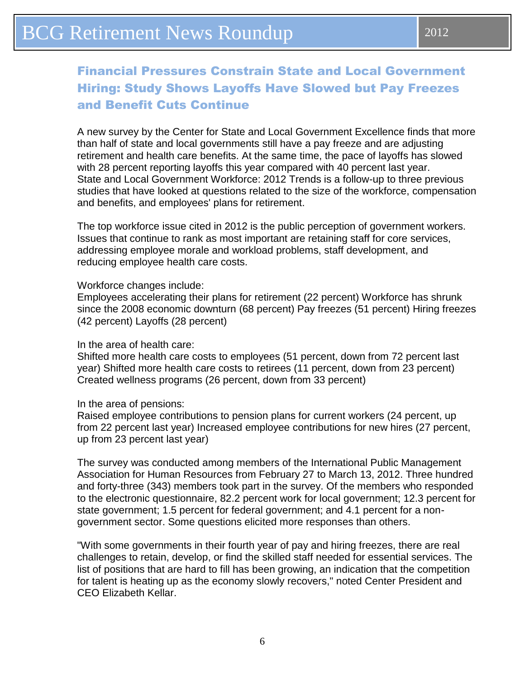### <span id="page-5-0"></span>Financial Pressures Constrain State and Local Government Hiring: Study Shows Layoffs Have Slowed but Pay Freezes and Benefit Cuts Continue

A new survey by the Center for State and Local Government Excellence finds that more than half of state and local governments still have a pay freeze and are adjusting retirement and health care benefits. At the same time, the pace of layoffs has slowed with 28 percent reporting layoffs this year compared with 40 percent last year. State and Local Government Workforce: 2012 Trends is a follow-up to three previous studies that have looked at questions related to the size of the workforce, compensation and benefits, and employees' plans for retirement.

The top workforce issue cited in 2012 is the public perception of government workers. Issues that continue to rank as most important are retaining staff for core services, addressing employee morale and workload problems, staff development, and reducing employee health care costs.

#### Workforce changes include:

Employees accelerating their plans for retirement (22 percent) Workforce has shrunk since the 2008 economic downturn (68 percent) Pay freezes (51 percent) Hiring freezes (42 percent) Layoffs (28 percent)

#### In the area of health care:

Shifted more health care costs to employees (51 percent, down from 72 percent last year) Shifted more health care costs to retirees (11 percent, down from 23 percent) Created wellness programs (26 percent, down from 33 percent)

#### In the area of pensions:

Raised employee contributions to pension plans for current workers (24 percent, up from 22 percent last year) Increased employee contributions for new hires (27 percent, up from 23 percent last year)

The survey was conducted among members of the International Public Management Association for Human Resources from February 27 to March 13, 2012. Three hundred and forty-three (343) members took part in the survey. Of the members who responded to the electronic questionnaire, 82.2 percent work for local government; 12.3 percent for state government; 1.5 percent for federal government; and 4.1 percent for a nongovernment sector. Some questions elicited more responses than others.

"With some governments in their fourth year of pay and hiring freezes, there are real challenges to retain, develop, or find the skilled staff needed for essential services. The list of positions that are hard to fill has been growing, an indication that the competition for talent is heating up as the economy slowly recovers," noted Center President and CEO Elizabeth Kellar.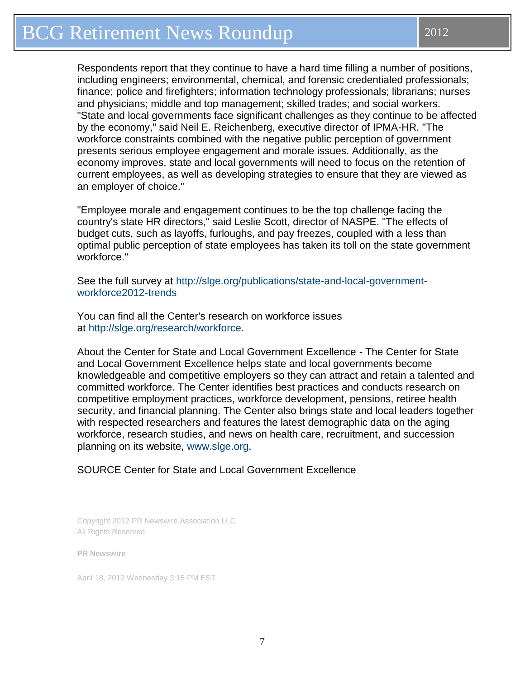<span id="page-6-0"></span>Respondents report that they continue to have a hard time filling a number of positions, including engineers; environmental, chemical, and forensic credentialed professionals; finance; police and firefighters; information technology professionals; librarians; nurses and physicians; middle and top management; skilled trades; and social workers. "State and local governments face significant challenges as they continue to be affected by the economy," said Neil E. Reichenberg, executive director of IPMA-HR. "The workforce constraints combined with the negative public perception of government presents serious employee engagement and morale issues. Additionally, as the economy improves, state and local governments will need to focus on the retention of current employees, as well as developing strategies to ensure that they are viewed as an employer of choice."

"Employee morale and engagement continues to be the top challenge facing the country's state HR directors," said Leslie Scott, director of NASPE. "The effects of budget cuts, such as layoffs, furloughs, and pay freezes, coupled with a less than optimal public perception of state employees has taken its toll on the state government workforce."

See the full survey at [http://slge.org/publications/state-and-local-government](http://slge.org/publications/state-and-local-government-workforce2012-trends)[workforce2012-trends](http://slge.org/publications/state-and-local-government-workforce2012-trends)

You can find all the Center's research on workforce issues at [http://slge.org/research/workforce.](http://slge.org/research/workforce)

About the Center for State and Local Government Excellence - The Center for State and Local Government Excellence helps state and local governments become knowledgeable and competitive employers so they can attract and retain a talented and committed workforce. The Center identifies best practices and conducts research on competitive employment practices, workforce development, pensions, retiree health security, and financial planning. The Center also brings state and local leaders together with respected researchers and features the latest demographic data on the aging workforce, research studies, and news on health care, recruitment, and succession planning on its website, [www.slge.org.](http://www.slge.org/)

SOURCE Center for State and Local Government Excellence

Copyright 2012 PR Newswire Association LLC All Rights Reserved

**PR Newswire**

April 18, 2012 Wednesday 3:15 PM EST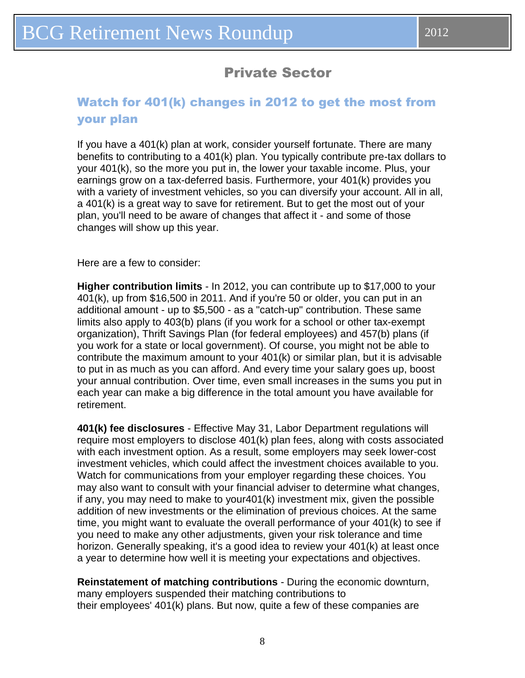### Private Sector

### Watch for 401(k) changes in 2012 to get the most from your plan

If you have a 401(k) plan at work, consider yourself fortunate. There are many benefits to contributing to a 401(k) plan. You typically contribute pre-tax dollars to your 401(k), so the more you put in, the lower your taxable income. Plus, your earnings grow on a tax-deferred basis. Furthermore, your 401(k) provides you with a variety of investment vehicles, so you can diversify your account. All in all, a 401(k) is a great way to save for retirement. But to get the most out of your plan, you'll need to be aware of changes that affect it - and some of those changes will show up this year.

Here are a few to consider:

**Higher contribution limits** - In 2012, you can contribute up to \$17,000 to your 401(k), up from \$16,500 in 2011. And if you're 50 or older, you can put in an additional amount - up to \$5,500 - as a "catch-up" contribution. These same limits also apply to 403(b) plans (if you work for a school or other tax-exempt organization), Thrift Savings Plan (for federal employees) and 457(b) plans (if you work for a state or local government). Of course, you might not be able to contribute the maximum amount to your 401(k) or similar plan, but it is advisable to put in as much as you can afford. And every time your salary goes up, boost your annual contribution. Over time, even small increases in the sums you put in each year can make a big difference in the total amount you have available for retirement.

**401(k) fee disclosures** - Effective May 31, Labor Department regulations will require most employers to disclose 401(k) plan fees, along with costs associated with each investment option. As a result, some employers may seek lower-cost investment vehicles, which could affect the investment choices available to you. Watch for communications from your employer regarding these choices. You may also want to consult with your financial adviser to determine what changes, if any, you may need to make to your401(k) investment mix, given the possible addition of new investments or the elimination of previous choices. At the same time, you might want to evaluate the overall performance of your 401(k) to see if you need to make any other adjustments, given your risk tolerance and time horizon. Generally speaking, it's a good idea to review your 401(k) at least once a year to determine how well it is meeting your expectations and objectives.

**Reinstatement of matching contributions** - During the economic downturn, many employers suspended their matching contributions to their employees' 401(k) plans. But now, quite a few of these companies are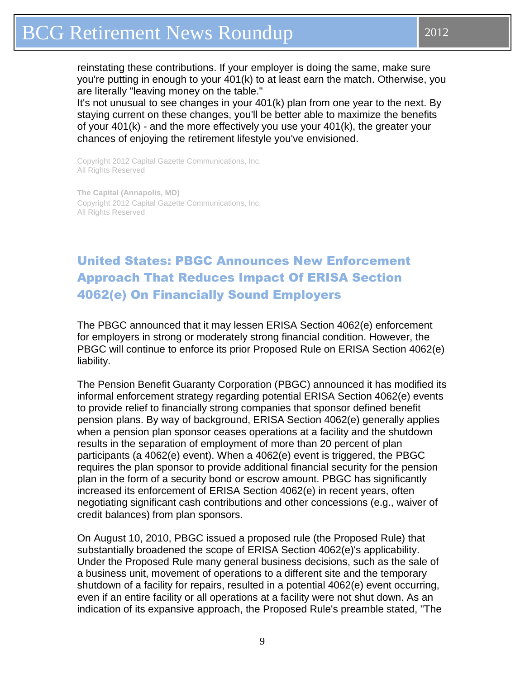<span id="page-8-0"></span>reinstating these contributions. If your employer is doing the same, make sure you're putting in enough to your 401(k) to at least earn the match. Otherwise, you are literally "leaving money on the table."

It's not unusual to see changes in your 401(k) plan from one year to the next. By staying current on these changes, you'll be better able to maximize the benefits of your 401(k) - and the more effectively you use your 401(k), the greater your chances of enjoying the retirement lifestyle you've envisioned.

Copyright 2012 Capital Gazette Communications, Inc. All Rights Reserved

**The Capital (Annapolis, MD)** Copyright 2012 Capital Gazette Communications, Inc. All Rights Reserved

### United States: PBGC Announces New Enforcement Approach That Reduces Impact Of ERISA Section 4062(e) On Financially Sound Employers

The PBGC announced that it may lessen ERISA Section 4062(e) enforcement for employers in strong or moderately strong financial condition. However, the PBGC will continue to enforce its prior Proposed Rule on ERISA Section 4062(e) liability.

The Pension Benefit Guaranty Corporation (PBGC) announced it has modified its informal enforcement strategy regarding potential ERISA Section 4062(e) events to provide relief to financially strong companies that sponsor defined benefit pension plans. By way of background, ERISA Section 4062(e) generally applies when a pension plan sponsor ceases operations at a facility and the shutdown results in the separation of employment of more than 20 percent of plan participants (a 4062(e) event). When a 4062(e) event is triggered, the PBGC requires the plan sponsor to provide additional financial security for the pension plan in the form of a security bond or escrow amount. PBGC has significantly increased its enforcement of ERISA Section 4062(e) in recent years, often negotiating significant cash contributions and other concessions (e.g., waiver of credit balances) from plan sponsors.

On August 10, 2010, PBGC issued a proposed rule (the Proposed Rule) that substantially broadened the scope of ERISA Section 4062(e)'s applicability. Under the Proposed Rule many general business decisions, such as the sale of a business unit, movement of operations to a different site and the temporary shutdown of a facility for repairs, resulted in a potential 4062(e) event occurring, even if an entire facility or all operations at a facility were not shut down. As an indication of its expansive approach, the Proposed Rule's preamble stated, "The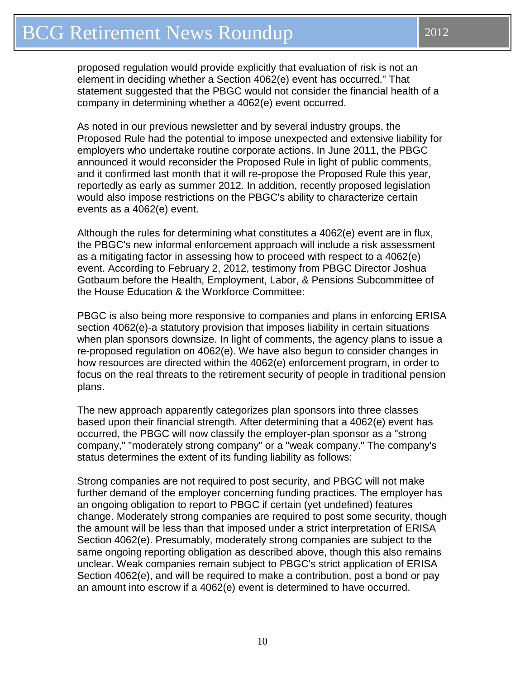proposed regulation would provide explicitly that evaluation of risk is not an element in deciding whether a Section 4062(e) event has occurred." That statement suggested that the PBGC would not consider the financial health of a company in determining whether a 4062(e) event occurred.

As noted in our previous newsletter and by several industry groups, the Proposed Rule had the potential to impose unexpected and extensive liability for employers who undertake routine corporate actions. In June 2011, the PBGC announced it would reconsider the Proposed Rule in light of public comments, and it confirmed last month that it will re-propose the Proposed Rule this year, reportedly as early as summer 2012. In addition, recently proposed legislation would also impose restrictions on the PBGC's ability to characterize certain events as a 4062(e) event.

Although the rules for determining what constitutes a 4062(e) event are in flux, the PBGC's new informal enforcement approach will include a risk assessment as a mitigating factor in assessing how to proceed with respect to a 4062(e) event. According to February 2, 2012, testimony from PBGC Director Joshua Gotbaum before the Health, Employment, Labor, & Pensions Subcommittee of the House Education & the Workforce Committee:

PBGC is also being more responsive to companies and plans in enforcing ERISA section 4062(e)-a statutory provision that imposes liability in certain situations when plan sponsors downsize. In light of comments, the agency plans to issue a re-proposed regulation on 4062(e). We have also begun to consider changes in how resources are directed within the 4062(e) enforcement program, in order to focus on the real threats to the retirement security of people in traditional pension plans.

The new approach apparently categorizes plan sponsors into three classes based upon their financial strength. After determining that a 4062(e) event has occurred, the PBGC will now classify the employer-plan sponsor as a "strong company," "moderately strong company" or a "weak company." The company's status determines the extent of its funding liability as follows:

Strong companies are not required to post security, and PBGC will not make further demand of the employer concerning funding practices. The employer has an ongoing obligation to report to PBGC if certain (yet undefined) features change. Moderately strong companies are required to post some security, though the amount will be less than that imposed under a strict interpretation of ERISA Section 4062(e). Presumably, moderately strong companies are subject to the same ongoing reporting obligation as described above, though this also remains unclear. Weak companies remain subject to PBGC's strict application of ERISA Section 4062(e), and will be required to make a contribution, post a bond or pay an amount into escrow if a 4062(e) event is determined to have occurred.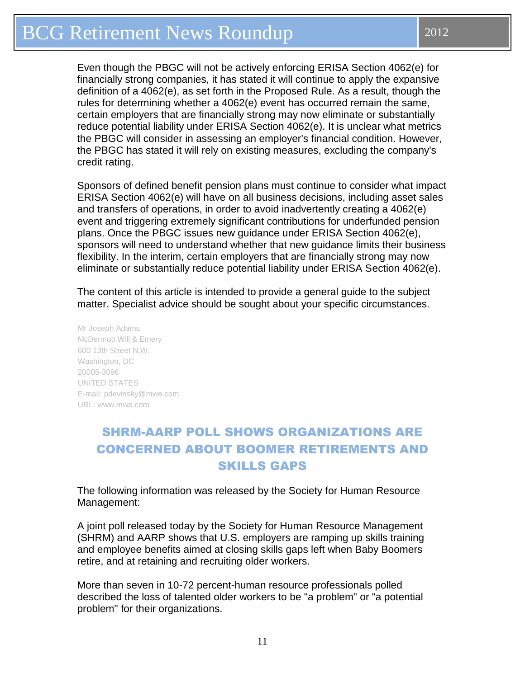<span id="page-10-0"></span>Even though the PBGC will not be actively enforcing ERISA Section 4062(e) for financially strong companies, it has stated it will continue to apply the expansive definition of a 4062(e), as set forth in the Proposed Rule. As a result, though the rules for determining whether a 4062(e) event has occurred remain the same, certain employers that are financially strong may now eliminate or substantially reduce potential liability under ERISA Section 4062(e). It is unclear what metrics the PBGC will consider in assessing an employer's financial condition. However, the PBGC has stated it will rely on existing measures, excluding the company's credit rating.

Sponsors of defined benefit pension plans must continue to consider what impact ERISA Section 4062(e) will have on all business decisions, including asset sales and transfers of operations, in order to avoid inadvertently creating a 4062(e) event and triggering extremely significant contributions for underfunded pension plans. Once the PBGC issues new guidance under ERISA Section 4062(e), sponsors will need to understand whether that new guidance limits their business flexibility. In the interim, certain employers that are financially strong may now eliminate or substantially reduce potential liability under ERISA Section 4062(e).

The content of this article is intended to provide a general guide to the subject matter. Specialist advice should be sought about your specific circumstances.

Mr Joseph Adams McDermott Will & Emery 600 13th Street N.W. Washington, DC 20005-3096 UNITED STATES E-mail: [pdevinsky@mwe.com](mailto:pdevinsky@mwe.com) URL: [www.mwe.com](http://www.mwe.com/)

### SHRM-AARP POLL SHOWS ORGANIZATIONS ARE CONCERNED ABOUT BOOMER RETIREMENTS AND SKILLS GAPS

The following information was released by the Society for Human Resource Management:

A joint poll released today by the Society for Human Resource Management (SHRM) and AARP shows that U.S. employers are ramping up skills training and employee benefits aimed at closing skills gaps left when Baby Boomers retire, and at retaining and recruiting older workers.

More than seven in 10-72 percent-human resource professionals polled described the loss of talented older workers to be "a problem" or "a potential problem" for their organizations.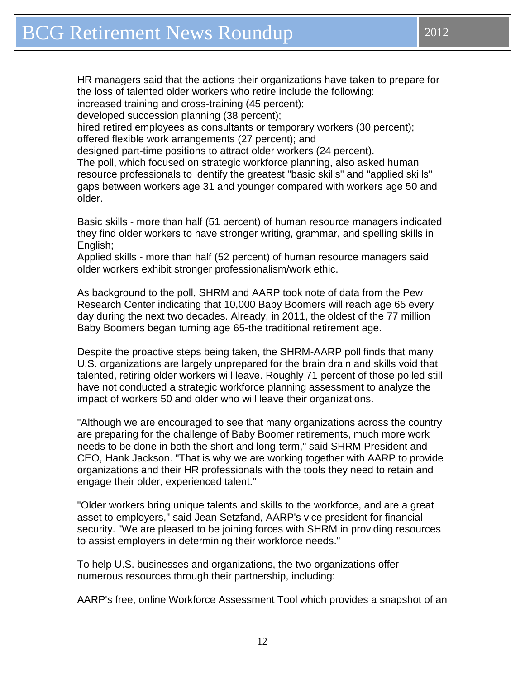HR managers said that the actions their organizations have taken to prepare for the loss of talented older workers who retire include the following: increased training and cross-training (45 percent);

developed succession planning (38 percent);

hired retired employees as consultants or temporary workers (30 percent); offered flexible work arrangements (27 percent); and

designed part-time positions to attract older workers (24 percent).

The poll, which focused on strategic workforce planning, also asked human resource professionals to identify the greatest "basic skills" and "applied skills" gaps between workers age 31 and younger compared with workers age 50 and older.

Basic skills - more than half (51 percent) of human resource managers indicated they find older workers to have stronger writing, grammar, and spelling skills in English;

Applied skills - more than half (52 percent) of human resource managers said older workers exhibit stronger professionalism/work ethic.

As background to the poll, SHRM and AARP took note of data from the Pew Research Center indicating that 10,000 Baby Boomers will reach age 65 every day during the next two decades. Already, in 2011, the oldest of the 77 million Baby Boomers began turning age 65-the traditional retirement age.

Despite the proactive steps being taken, the SHRM-AARP poll finds that many U.S. organizations are largely unprepared for the brain drain and skills void that talented, retiring older workers will leave. Roughly 71 percent of those polled still have not conducted a strategic workforce planning assessment to analyze the impact of workers 50 and older who will leave their organizations.

"Although we are encouraged to see that many organizations across the country are preparing for the challenge of Baby Boomer retirements, much more work needs to be done in both the short and long-term," said SHRM President and CEO, Hank Jackson. "That is why we are working together with AARP to provide organizations and their HR professionals with the tools they need to retain and engage their older, experienced talent."

"Older workers bring unique talents and skills to the workforce, and are a great asset to employers," said Jean Setzfand, AARP's vice president for financial security. "We are pleased to be joining forces with SHRM in providing resources to assist employers in determining their workforce needs."

To help U.S. businesses and organizations, the two organizations offer numerous resources through their partnership, including:

AARP's free, online Workforce Assessment Tool which provides a snapshot of an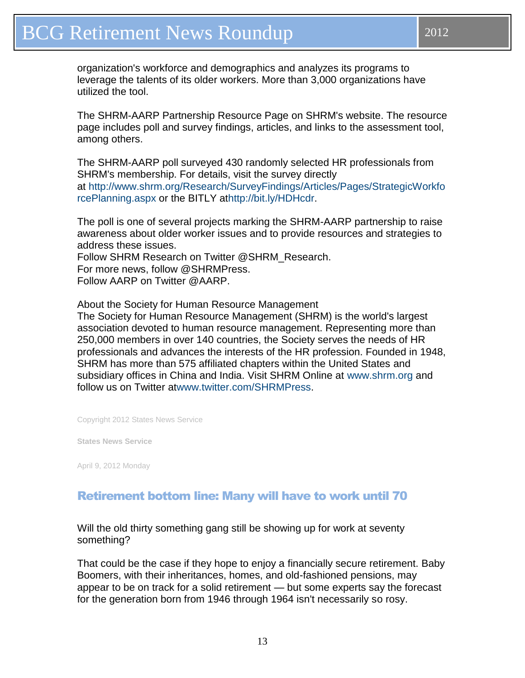<span id="page-12-0"></span>organization's workforce and demographics and analyzes its programs to leverage the talents of its older workers. More than 3,000 organizations have utilized the tool.

The SHRM-AARP Partnership Resource Page on SHRM's website. The resource page includes poll and survey findings, articles, and links to the assessment tool, among others.

The SHRM-AARP poll surveyed 430 randomly selected HR professionals from SHRM's membership. For details, visit the survey directly at [http://www.shrm.org/Research/SurveyFindings/Articles/Pages/StrategicWorkfo](http://www.shrm.org/Research/SurveyFindings/Articles/Pages/StrategicWorkforcePlanning.aspx) [rcePlanning.aspx](http://www.shrm.org/Research/SurveyFindings/Articles/Pages/StrategicWorkforcePlanning.aspx) or the BITLY a[thttp://bit.ly/HDHcdr.](http://bit.ly/HDHcdr)

The poll is one of several projects marking the SHRM-AARP partnership to raise awareness about older worker issues and to provide resources and strategies to address these issues.

Follow SHRM Research on Twitter @SHRM\_Research.

For more news, follow @SHRMPress.

Follow AARP on Twitter @AARP.

About the Society for Human Resource Management

The Society for Human Resource Management (SHRM) is the world's largest association devoted to human resource management. Representing more than 250,000 members in over 140 countries, the Society serves the needs of HR professionals and advances the interests of the HR profession. Founded in 1948, SHRM has more than 575 affiliated chapters within the United States and subsidiary offices in China and India. Visit SHRM Online at [www.shrm.org](http://www.shrm.org/) and follow us on Twitter a[twww.twitter.com/SHRMPress.](http://www.twitter.com/SHRMPress)

Copyright 2012 States News Service

**States News Service**

April 9, 2012 Monday

#### Retirement bottom line: Many will have to work until 70

Will the old thirty something gang still be showing up for work at seventy something?

That could be the case if they hope to enjoy a financially secure retirement. Baby Boomers, with their inheritances, homes, and old-fashioned pensions, may appear to be on track for a solid retirement — but some experts say the forecast for the generation born from 1946 through 1964 isn't necessarily so rosy.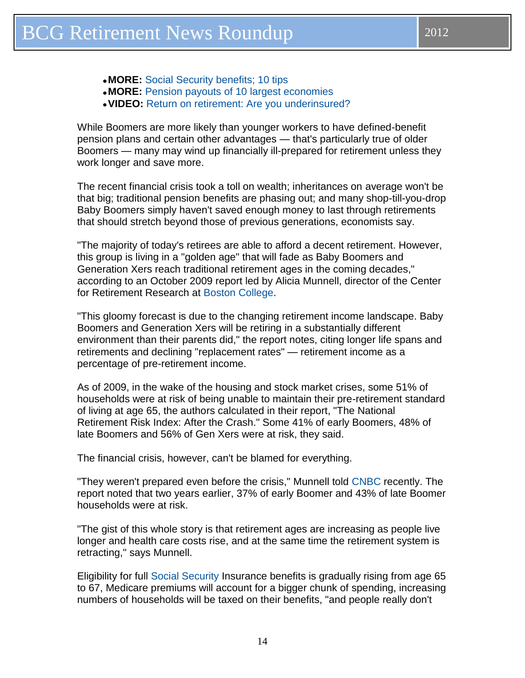- **MORE:** [Social Security benefits; 10 tips](http://www.cnbc.com/id/47030952?__source=usatoday|boomerblues|&par=usatoday)
- **MORE:** [Pension payouts of 10 largest economies](http://www.cnbc.com/id/44616419?__source=usatoday|boomerblues|&par=usatoday)
- **VIDEO:** [Return on retirement: Are you underinsured?](http://video.cnbc.com/gallery/?video=3000084363&__source=usatoday|boomerblues|&par=usatoday)

While Boomers are more likely than younger workers to have defined-benefit pension plans and certain other advantages — that's particularly true of older Boomers — many may wind up financially ill-prepared for retirement unless they work longer and save more.

The recent financial crisis took a toll on wealth; inheritances on average won't be that big; traditional pension benefits are phasing out; and many shop-till-you-drop Baby Boomers simply haven't saved enough money to last through retirements that should stretch beyond those of previous generations, economists say.

"The majority of today's retirees are able to afford a decent retirement. However, this group is living in a "golden age" that will fade as Baby Boomers and Generation Xers reach traditional retirement ages in the coming decades," according to an October 2009 report led by Alicia Munnell, director of the Center for Retirement Research at [Boston College.](http://content.usatoday.com/topics/topic/Organizations/Schools/Boston+College)

"This gloomy forecast is due to the changing retirement income landscape. Baby Boomers and Generation Xers will be retiring in a substantially different environment than their parents did," the report notes, citing longer life spans and retirements and declining "replacement rates" — retirement income as a percentage of pre-retirement income.

As of 2009, in the wake of the housing and stock market crises, some 51% of households were at risk of being unable to maintain their pre-retirement standard of living at age 65, the authors calculated in their report, "The National Retirement Risk Index: After the Crash." Some 41% of early Boomers, 48% of late Boomers and 56% of Gen Xers were at risk, they said.

The financial crisis, however, can't be blamed for everything.

"They weren't prepared even before the crisis," Munnell told [CNBC](http://content.usatoday.com/topics/topic/CNBC) recently. The report noted that two years earlier, 37% of early Boomer and 43% of late Boomer households were at risk.

"The gist of this whole story is that retirement ages are increasing as people live longer and health care costs rise, and at the same time the retirement system is retracting," says Munnell.

Eligibility for full [Social Security](http://content.usatoday.com/topics/topic/Legislation+and+Acts/U.S.+Government/Social+Security) Insurance benefits is gradually rising from age 65 to 67, Medicare premiums will account for a bigger chunk of spending, increasing numbers of households will be taxed on their benefits, "and people really don't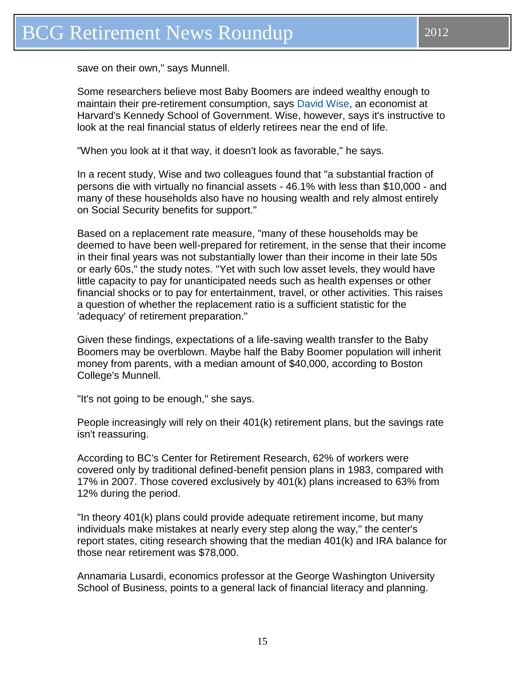save on their own," says Munnell.

Some researchers believe most Baby Boomers are indeed wealthy enough to maintain their pre-retirement consumption, says [David Wise,](http://content.usatoday.com/topics/topic/David+Wise) an economist at Harvard's Kennedy School of Government. Wise, however, says it's instructive to look at the real financial status of elderly retirees near the end of life.

"When you look at it that way, it doesn't look as favorable," he says.

In a recent study, Wise and two colleagues found that "a substantial fraction of persons die with virtually no financial assets - 46.1% with less than \$10,000 - and many of these households also have no housing wealth and rely almost entirely on Social Security benefits for support."

Based on a replacement rate measure, "many of these households may be deemed to have been well-prepared for retirement, in the sense that their income in their final years was not substantially lower than their income in their late 50s or early 60s," the study notes. "Yet with such low asset levels, they would have little capacity to pay for unanticipated needs such as health expenses or other financial shocks or to pay for entertainment, travel, or other activities. This raises a question of whether the replacement ratio is a sufficient statistic for the 'adequacy' of retirement preparation."

Given these findings, expectations of a life-saving wealth transfer to the Baby Boomers may be overblown. Maybe half the Baby Boomer population will inherit money from parents, with a median amount of \$40,000, according to Boston College's Munnell.

"It's not going to be enough," she says.

People increasingly will rely on their 401(k) retirement plans, but the savings rate isn't reassuring.

According to BC's Center for Retirement Research, 62% of workers were covered only by traditional defined-benefit pension plans in 1983, compared with 17% in 2007. Those covered exclusively by 401(k) plans increased to 63% from 12% during the period.

"In theory 401(k) plans could provide adequate retirement income, but many individuals make mistakes at nearly every step along the way," the center's report states, citing research showing that the median 401(k) and IRA balance for those near retirement was \$78,000.

Annamaria Lusardi, economics professor at the George Washington University School of Business, points to a general lack of financial literacy and planning.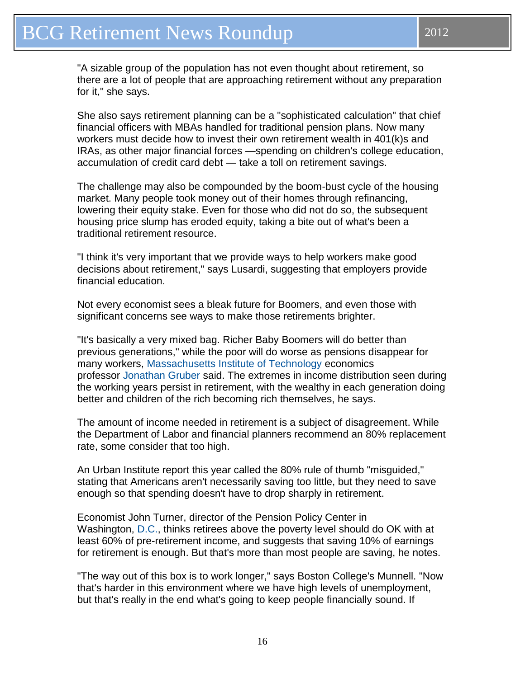"A sizable group of the population has not even thought about retirement, so there are a lot of people that are approaching retirement without any preparation for it," she says.

She also says retirement planning can be a "sophisticated calculation" that chief financial officers with MBAs handled for traditional pension plans. Now many workers must decide how to invest their own retirement wealth in 401(k)s and IRAs, as other major financial forces —spending on children's college education, accumulation of credit card debt — take a toll on retirement savings.

The challenge may also be compounded by the boom-bust cycle of the housing market. Many people took money out of their homes through refinancing, lowering their equity stake. Even for those who did not do so, the subsequent housing price slump has eroded equity, taking a bite out of what's been a traditional retirement resource.

"I think it's very important that we provide ways to help workers make good decisions about retirement," says Lusardi, suggesting that employers provide financial education.

Not every economist sees a bleak future for Boomers, and even those with significant concerns see ways to make those retirements brighter.

"It's basically a very mixed bag. Richer Baby Boomers will do better than previous generations," while the poor will do worse as pensions disappear for many workers, [Massachusetts Institute of Technology](http://content.usatoday.com/topics/topic/Organizations/Schools/Massachusetts+Institute+of+Technology) economics professor [Jonathan Gruber](http://content.usatoday.com/topics/topic/Jonathan+Gruber) said. The extremes in income distribution seen during the working years persist in retirement, with the wealthy in each generation doing better and children of the rich becoming rich themselves, he says.

The amount of income needed in retirement is a subject of disagreement. While the Department of Labor and financial planners recommend an 80% replacement rate, some consider that too high.

An Urban Institute report this year called the 80% rule of thumb "misguided," stating that Americans aren't necessarily saving too little, but they need to save enough so that spending doesn't have to drop sharply in retirement.

Economist John Turner, director of the Pension Policy Center in Washington, [D.C.,](http://content.usatoday.com/topics/topic/D.C) thinks retirees above the poverty level should do OK with at least 60% of pre-retirement income, and suggests that saving 10% of earnings for retirement is enough. But that's more than most people are saving, he notes.

"The way out of this box is to work longer," says Boston College's Munnell. "Now that's harder in this environment where we have high levels of unemployment, but that's really in the end what's going to keep people financially sound. If